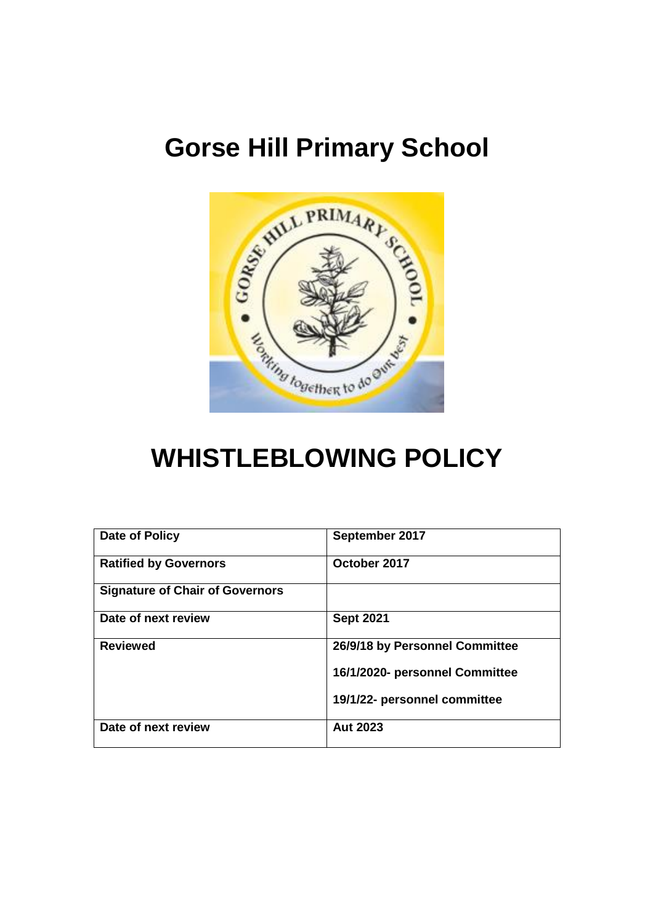# **Gorse Hill Primary School**



# **WHISTLEBLOWING POLICY**

| Date of Policy                         | September 2017                 |
|----------------------------------------|--------------------------------|
| <b>Ratified by Governors</b>           | October 2017                   |
| <b>Signature of Chair of Governors</b> |                                |
| Date of next review                    | <b>Sept 2021</b>               |
| <b>Reviewed</b>                        | 26/9/18 by Personnel Committee |
|                                        | 16/1/2020- personnel Committee |
|                                        | 19/1/22- personnel committee   |
| Date of next review                    | <b>Aut 2023</b>                |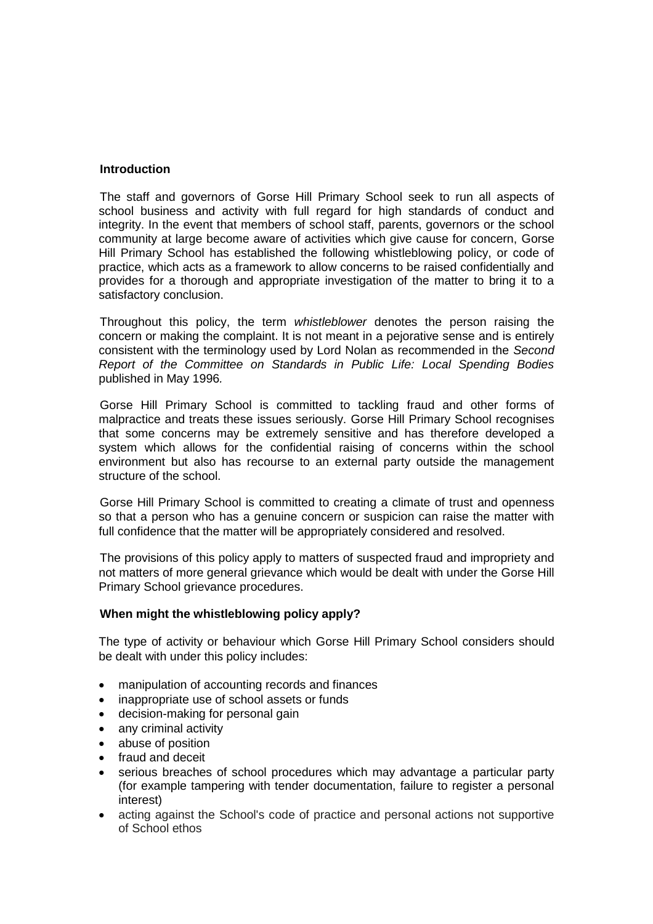#### **Introduction**

The staff and governors of Gorse Hill Primary School seek to run all aspects of school business and activity with full regard for high standards of conduct and integrity. In the event that members of school staff, parents, governors or the school community at large become aware of activities which give cause for concern, Gorse Hill Primary School has established the following whistleblowing policy, or code of practice, which acts as a framework to allow concerns to be raised confidentially and provides for a thorough and appropriate investigation of the matter to bring it to a satisfactory conclusion.

Throughout this policy, the term *whistleblower* denotes the person raising the concern or making the complaint. It is not meant in a pejorative sense and is entirely consistent with the terminology used by Lord Nolan as recommended in the *Second Report of the Committee on Standards in Public Life: Local Spending Bodies* published in May 1996*.*

Gorse Hill Primary School is committed to tackling fraud and other forms of malpractice and treats these issues seriously. Gorse Hill Primary School recognises that some concerns may be extremely sensitive and has therefore developed a system which allows for the confidential raising of concerns within the school environment but also has recourse to an external party outside the management structure of the school.

Gorse Hill Primary School is committed to creating a climate of trust and openness so that a person who has a genuine concern or suspicion can raise the matter with full confidence that the matter will be appropriately considered and resolved.

The provisions of this policy apply to matters of suspected fraud and impropriety and not matters of more general grievance which would be dealt with under the Gorse Hill Primary School grievance procedures.

### **When might the whistleblowing policy apply?**

The type of activity or behaviour which Gorse Hill Primary School considers should be dealt with under this policy includes:

- manipulation of accounting records and finances
- inappropriate use of school assets or funds
- decision-making for personal gain
- any criminal activity
- abuse of position
- fraud and deceit
- serious breaches of school procedures which may advantage a particular party (for example tampering with tender documentation, failure to register a personal interest)
- acting against the School's code of practice and personal actions not supportive of School ethos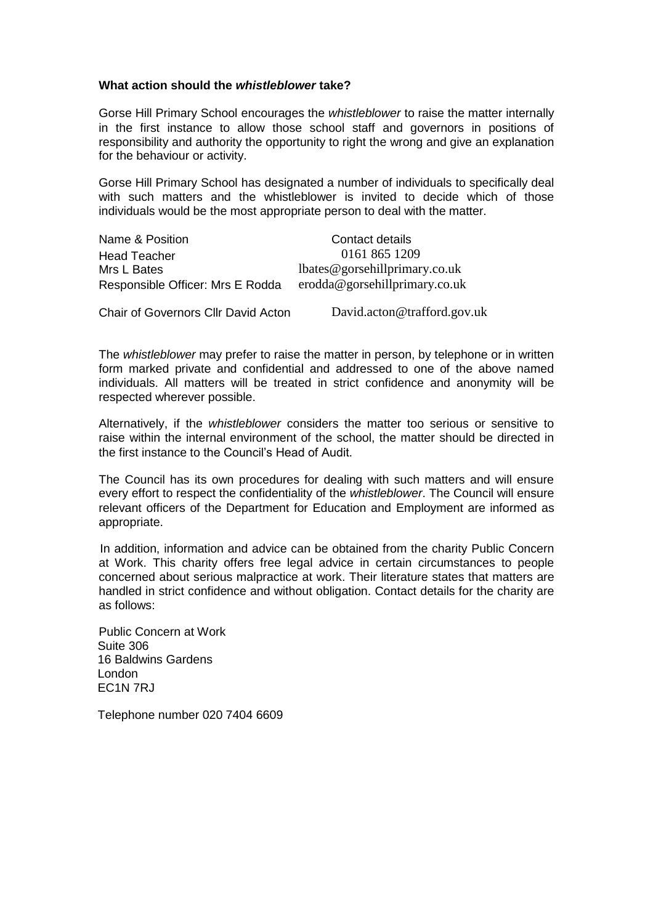#### **What action should the** *whistleblower* **take?**

Gorse Hill Primary School encourages the *whistleblower* to raise the matter internally in the first instance to allow those school staff and governors in positions of responsibility and authority the opportunity to right the wrong and give an explanation for the behaviour or activity.

Gorse Hill Primary School has designated a number of individuals to specifically deal with such matters and the whistleblower is invited to decide which of those individuals would be the most appropriate person to deal with the matter.

| Name & Position                  | Contact details                     |
|----------------------------------|-------------------------------------|
| <b>Head Teacher</b>              | 0161 865 1209                       |
| Mrs L Bates                      | lbates @ gorschillprimary.co.uk     |
| Responsible Officer: Mrs E Rodda | $er{odd}a@gor{schillprimary.co.uk}$ |

Chair of Governors Cllr David Acton David.acton@trafford.gov.uk

The *whistleblower* may prefer to raise the matter in person, by telephone or in written form marked private and confidential and addressed to one of the above named individuals. All matters will be treated in strict confidence and anonymity will be respected wherever possible.

Alternatively, if the *whistleblower* considers the matter too serious or sensitive to raise within the internal environment of the school, the matter should be directed in the first instance to the Council's Head of Audit.

The Council has its own procedures for dealing with such matters and will ensure every effort to respect the confidentiality of the *whistleblower*. The Council will ensure relevant officers of the Department for Education and Employment are informed as appropriate.

In addition, information and advice can be obtained from the charity Public Concern at Work. This charity offers free legal advice in certain circumstances to people concerned about serious malpractice at work. Their literature states that matters are handled in strict confidence and without obligation. Contact details for the charity are as follows:

Public Concern at Work Suite 306 16 Baldwins Gardens London EC1N 7RJ

Telephone number 020 7404 6609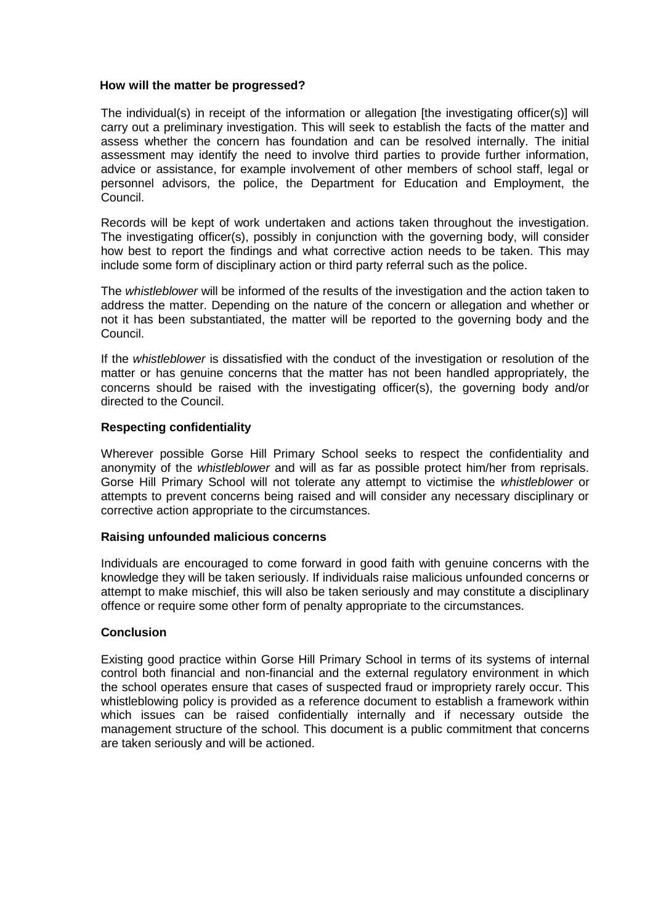#### **How will the matter be progressed?**

The individual(s) in receipt of the information or allegation [the investigating officer(s)] will carry out a preliminary investigation. This will seek to establish the facts of the matter and assess whether the concern has foundation and can be resolved internally. The initial assessment may identify the need to involve third parties to provide further information, advice or assistance, for example involvement of other members of school staff, legal or personnel advisors, the police, the Department for Education and Employment, the Council.

Records will be kept of work undertaken and actions taken throughout the investigation. The investigating officer(s), possibly in conjunction with the governing body, will consider how best to report the findings and what corrective action needs to be taken. This may include some form of disciplinary action or third party referral such as the police.

The *whistleblower* will be informed of the results of the investigation and the action taken to address the matter. Depending on the nature of the concern or allegation and whether or not it has been substantiated, the matter will be reported to the governing body and the Council.

If the *whistleblower* is dissatisfied with the conduct of the investigation or resolution of the matter or has genuine concerns that the matter has not been handled appropriately, the concerns should be raised with the investigating officer(s), the governing body and/or directed to the Council.

#### **Respecting confidentiality**

Wherever possible Gorse Hill Primary School seeks to respect the confidentiality and anonymity of the *whistleblower* and will as far as possible protect him/her from reprisals. Gorse Hill Primary School will not tolerate any attempt to victimise the *whistleblower* or attempts to prevent concerns being raised and will consider any necessary disciplinary or corrective action appropriate to the circumstances.

#### **Raising unfounded malicious concerns**

Individuals are encouraged to come forward in good faith with genuine concerns with the knowledge they will be taken seriously. If individuals raise malicious unfounded concerns or attempt to make mischief, this will also be taken seriously and may constitute a disciplinary offence or require some other form of penalty appropriate to the circumstances.

#### **Conclusion**

Existing good practice within Gorse Hill Primary School in terms of its systems of internal control both financial and non-financial and the external regulatory environment in which the school operates ensure that cases of suspected fraud or impropriety rarely occur. This whistleblowing policy is provided as a reference document to establish a framework within which issues can be raised confidentially internally and if necessary outside the management structure of the school. This document is a public commitment that concerns are taken seriously and will be actioned.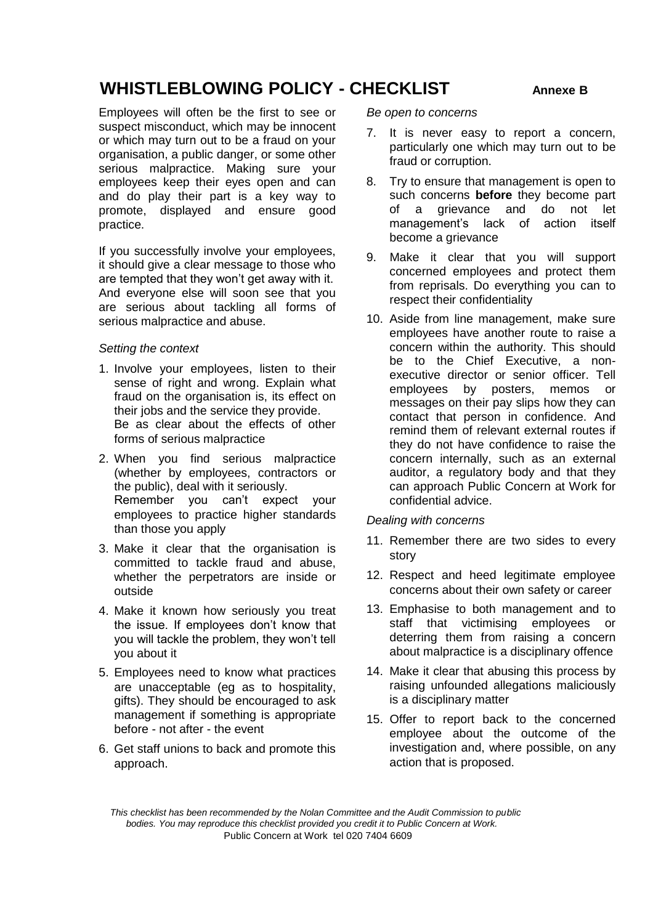### **WHISTLEBLOWING POLICY - CHECKLIST Annexe B**

Employees will often be the first to see or suspect misconduct, which may be innocent or which may turn out to be a fraud on your organisation, a public danger, or some other serious malpractice. Making sure your employees keep their eyes open and can and do play their part is a key way to promote, displayed and ensure good practice.

If you successfully involve your employees, it should give a clear message to those who are tempted that they won't get away with it. And everyone else will soon see that you are serious about tackling all forms of serious malpractice and abuse.

#### *Setting the context*

- 1. Involve your employees, listen to their sense of right and wrong. Explain what fraud on the organisation is, its effect on their jobs and the service they provide. Be as clear about the effects of other forms of serious malpractice
- 2. When you find serious malpractice (whether by employees, contractors or the public), deal with it seriously. Remember you can't expect your employees to practice higher standards than those you apply
- 3. Make it clear that the organisation is committed to tackle fraud and abuse, whether the perpetrators are inside or outside
- 4. Make it known how seriously you treat the issue. If employees don't know that you will tackle the problem, they won't tell you about it
- 5. Employees need to know what practices are unacceptable (eg as to hospitality, gifts). They should be encouraged to ask management if something is appropriate before - not after - the event
- 6. Get staff unions to back and promote this approach.

*Be open to concerns*

- 7. It is never easy to report a concern, particularly one which may turn out to be fraud or corruption.
- 8. Try to ensure that management is open to such concerns **before** they become part of a grievance and do not let management's lack of action itself become a grievance
- 9. Make it clear that you will support concerned employees and protect them from reprisals. Do everything you can to respect their confidentiality
- 10. Aside from line management, make sure employees have another route to raise a concern within the authority. This should be to the Chief Executive, a nonexecutive director or senior officer. Tell employees by posters, memos or messages on their pay slips how they can contact that person in confidence. And remind them of relevant external routes if they do not have confidence to raise the concern internally, such as an external auditor, a regulatory body and that they can approach Public Concern at Work for confidential advice.

#### *Dealing with concerns*

- 11. Remember there are two sides to every story
- 12. Respect and heed legitimate employee concerns about their own safety or career
- 13. Emphasise to both management and to staff that victimising employees or deterring them from raising a concern about malpractice is a disciplinary offence
- 14. Make it clear that abusing this process by raising unfounded allegations maliciously is a disciplinary matter
- 15. Offer to report back to the concerned employee about the outcome of the investigation and, where possible, on any action that is proposed.

*This checklist has been recommended by the Nolan Committee and the Audit Commission to public bodies. You may reproduce this checklist provided you credit it to Public Concern at Work.* Public Concern at Work tel 020 7404 6609